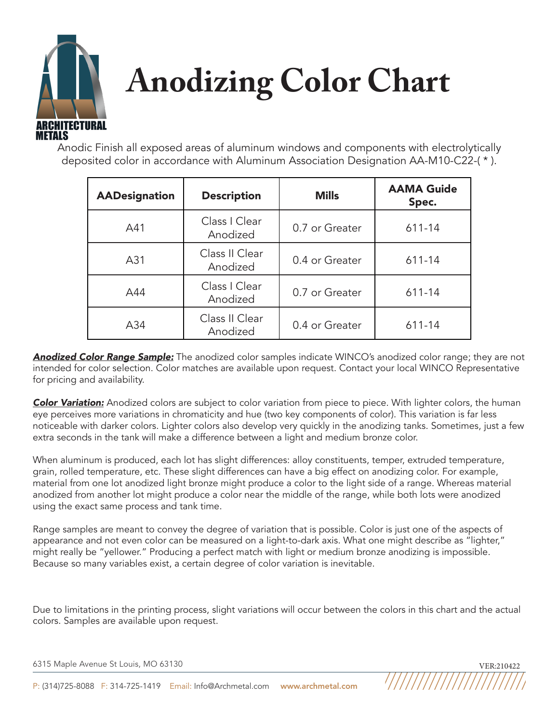

## **[Anodizing Color Chart](http://www.archmetal.com/)**

[Anodic Fini](https://www.archmetal.com/)sh all exposed areas of aluminum windows and components with electrolytically deposited color in accordance with Aluminum Association Designation AA-M10-C22-( \* ).

| <b>AADesignation</b> | <b>Description</b>         | <b>Mills</b>   | <b>AAMA Guide</b><br>Spec. |
|----------------------|----------------------------|----------------|----------------------------|
| A41                  | Class   Clear<br>Anodized  | 0.7 or Greater | 611-14                     |
| A31                  | Class II Clear<br>Anodized | 0.4 or Greater | 611-14                     |
| A44                  | Class   Clear<br>Anodized  | 0.7 or Greater | 611-14                     |
| A34                  | Class II Clear<br>Anodized | 0.4 or Greater | $611 - 14$                 |

*Anodized Color Range Sample:* The anodized color samples indicate WINCO's anodized color range; they are not intended for color selection. Color matches are available upon request. Contact your local WINCO Representative for pricing and availability.

*Color Variation:* Anodized colors are subject to color variation from piece to piece. With lighter colors, the human eye perceives more variations in chromaticity and hue (two key components of color). This variation is far less noticeable with darker colors. Lighter colors also develop very quickly in the anodizing tanks. Sometimes, just a few extra seconds in the tank will make a difference between a light and medium bronze color.

When aluminum is produced, each lot has slight differences: alloy constituents, temper, extruded temperature, grain, rolled temperature, etc. These slight differences can have a big effect on anodizing color. For example, material from one lot anodized light bronze might produce a color to the light side of a range. Whereas material anodized from another lot might produce a color near the middle of the range, while both lots were anodized using the exact same process and tank time.

Range samples are meant to convey the degree of variation that is possible. Color is just one of the aspects of appearance and not even color can be measured on a light-to-dark axis. What one might describe as "lighter," might really be "yellower." Producing a perfect match with light or medium bronze anodizing is impossible. Because so many variables exist, a certain degree of color variation is inevitable.

Due to limitations in the printing process, slight variations will occur between the colors in this chart and the actual colors. Samples are available upon request.

6315 Maple Avenue St Louis, MO 63130